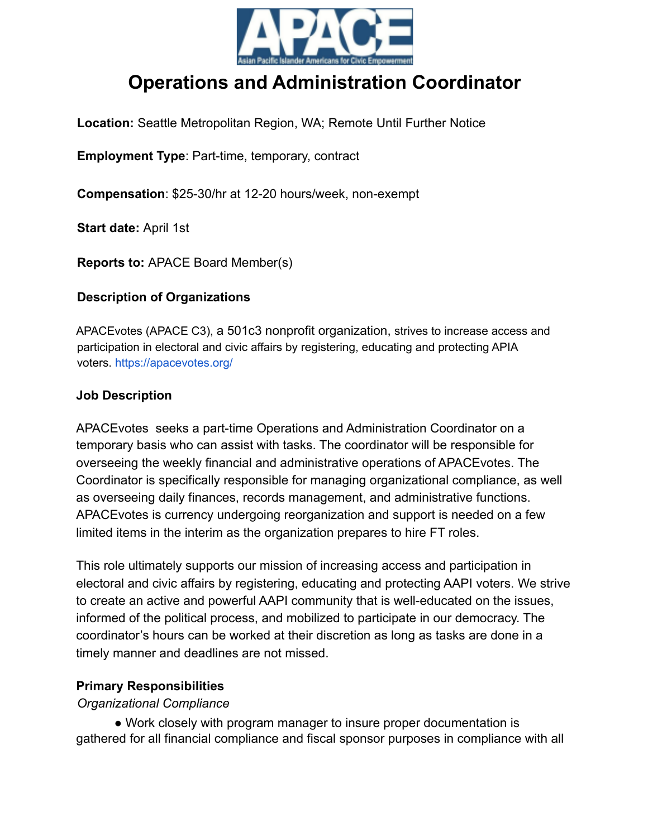

# **Operations and Administration Coordinator**

**Location:** Seattle Metropolitan Region, WA; Remote Until Further Notice

**Employment Type**: Part-time, temporary, contract

**Compensation**: \$25-30/hr at 12-20 hours/week, non-exempt

**Start date:** April 1st

**Reports to:** APACE Board Member(s)

#### **Description of Organizations**

APACEvotes (APACE C3), a 501c3 nonprofit organization, strives to increase access and participation in electoral and civic affairs by registering, educating and protecting APIA voters. https://apacevotes.org/

#### **Job Description**

APACEvotes seeks a part-time Operations and Administration Coordinator on a temporary basis who can assist with tasks. The coordinator will be responsible for overseeing the weekly financial and administrative operations of APACEvotes. The Coordinator is specifically responsible for managing organizational compliance, as well as overseeing daily finances, records management, and administrative functions. APACEvotes is currency undergoing reorganization and support is needed on a few limited items in the interim as the organization prepares to hire FT roles.

This role ultimately supports our mission of increasing access and participation in electoral and civic affairs by registering, educating and protecting AAPI voters. We strive to create an active and powerful AAPI community that is well-educated on the issues, informed of the political process, and mobilized to participate in our democracy. The coordinator's hours can be worked at their discretion as long as tasks are done in a timely manner and deadlines are not missed.

#### **Primary Responsibilities**

#### *Organizational Compliance*

• Work closely with program manager to insure proper documentation is gathered for all financial compliance and fiscal sponsor purposes in compliance with all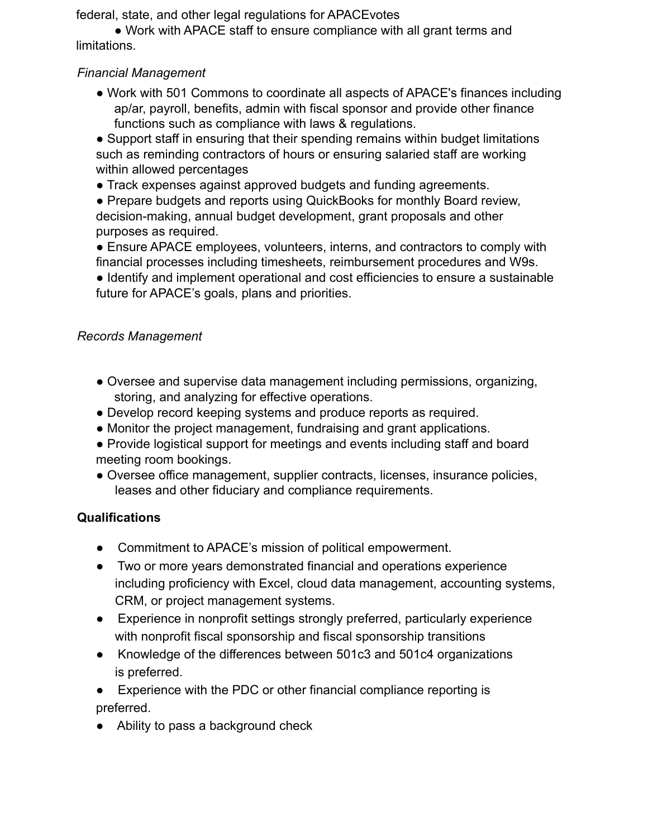federal, state, and other legal regulations for APACEvotes

• Work with APACE staff to ensure compliance with all grant terms and limitations.

# *Financial Management*

● Work with 501 Commons to coordinate all aspects of APACE's finances including ap/ar, payroll, benefits, admin with fiscal sponsor and provide other finance functions such as compliance with laws & regulations.

• Support staff in ensuring that their spending remains within budget limitations such as reminding contractors of hours or ensuring salaried staff are working within allowed percentages

● Track expenses against approved budgets and funding agreements.

• Prepare budgets and reports using QuickBooks for monthly Board review, decision-making, annual budget development, grant proposals and other purposes as required.

● Ensure APACE employees, volunteers, interns, and contractors to comply with financial processes including timesheets, reimbursement procedures and W9s.

● Identify and implement operational and cost efficiencies to ensure a sustainable future for APACE's goals, plans and priorities.

# *Records Management*

- Oversee and supervise data management including permissions, organizing, storing, and analyzing for effective operations.
- Develop record keeping systems and produce reports as required.
- Monitor the project management, fundraising and grant applications.
- Provide logistical support for meetings and events including staff and board meeting room bookings.
- Oversee office management, supplier contracts, licenses, insurance policies, leases and other fiduciary and compliance requirements.

# **Qualifications**

- Commitment to APACE's mission of political empowerment.
- Two or more years demonstrated financial and operations experience including proficiency with Excel, cloud data management, accounting systems, CRM, or project management systems.
- Experience in nonprofit settings strongly preferred, particularly experience with nonprofit fiscal sponsorship and fiscal sponsorship transitions
- Knowledge of the differences between 501c3 and 501c4 organizations is preferred.

● Experience with the PDC or other financial compliance reporting is preferred.

● Ability to pass a background check